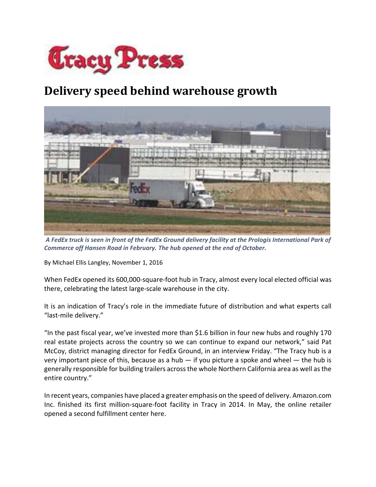

## **Delivery speed behind warehouse growth**



A FedEx truck is seen in front of the FedEx Ground delivery facility at the Prologis International Park of *Commerce off Hansen Road in February. The hub opened at the end of October.*

By Michael Ellis Langley, November 1, 2016

When FedEx opened its 600,000-square-foot hub in Tracy, almost every local elected official was there, celebrating the latest large‐scale warehouse in the city.

It is an indication of Tracy's role in the immediate future of distribution and what experts call "last‐mile delivery."

"In the past fiscal year, we've invested more than \$1.6 billion in four new hubs and roughly 170 real estate projects across the country so we can continue to expand our network," said Pat McCoy, district managing director for FedEx Ground, in an interview Friday. "The Tracy hub is a very important piece of this, because as a hub  $-$  if you picture a spoke and wheel  $-$  the hub is generally responsible for building trailers acrossthe whole Northern California area as well asthe entire country."

In recent years, companies have placed a greater emphasis on the speed of delivery. Amazon.com Inc. finished its first million‐square‐foot facility in Tracy in 2014. In May, the online retailer opened a second fulfillment center here.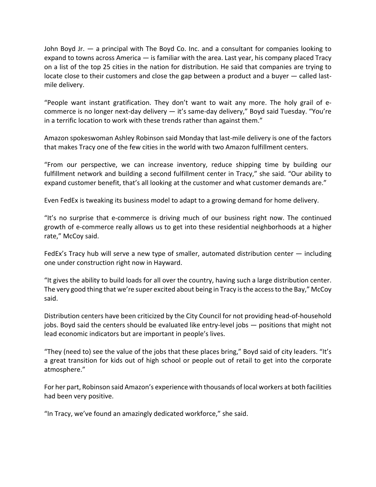John Boyd Jr. — a principal with The Boyd Co. Inc. and a consultant for companies looking to expand to towns across America — is familiar with the area. Last year, his company placed Tracy on a list of the top 25 cities in the nation for distribution. He said that companies are trying to locate close to their customers and close the gap between a product and a buyer — called lastmile delivery.

"People want instant gratification. They don't want to wait any more. The holy grail of e‐ commerce is no longer next-day delivery — it's same-day delivery," Boyd said Tuesday. "You're in a terrific location to work with these trends rather than against them."

Amazon spokeswoman Ashley Robinson said Monday that last‐mile delivery is one of the factors that makes Tracy one of the few cities in the world with two Amazon fulfillment centers.

"From our perspective, we can increase inventory, reduce shipping time by building our fulfillment network and building a second fulfillment center in Tracy," she said. "Our ability to expand customer benefit, that's all looking at the customer and what customer demands are."

Even FedEx is tweaking its business model to adapt to a growing demand for home delivery.

"It's no surprise that e‐commerce is driving much of our business right now. The continued growth of e‐commerce really allows us to get into these residential neighborhoods at a higher rate," McCoy said.

FedEx's Tracy hub will serve a new type of smaller, automated distribution center — including one under construction right now in Hayward.

"It gives the ability to build loads for all over the country, having such a large distribution center. The very good thing that we're super excited about being in Tracy isthe accessto the Bay," McCoy said.

Distribution centers have been criticized by the City Council for not providing head‐of‐household jobs. Boyd said the centers should be evaluated like entry-level jobs — positions that might not lead economic indicators but are important in people's lives.

"They (need to) see the value of the jobs that these places bring," Boyd said of city leaders. "It's a great transition for kids out of high school or people out of retail to get into the corporate atmosphere."

For her part, Robinson said Amazon's experience with thousands of local workers at both facilities had been very positive.

"In Tracy, we've found an amazingly dedicated workforce," she said.